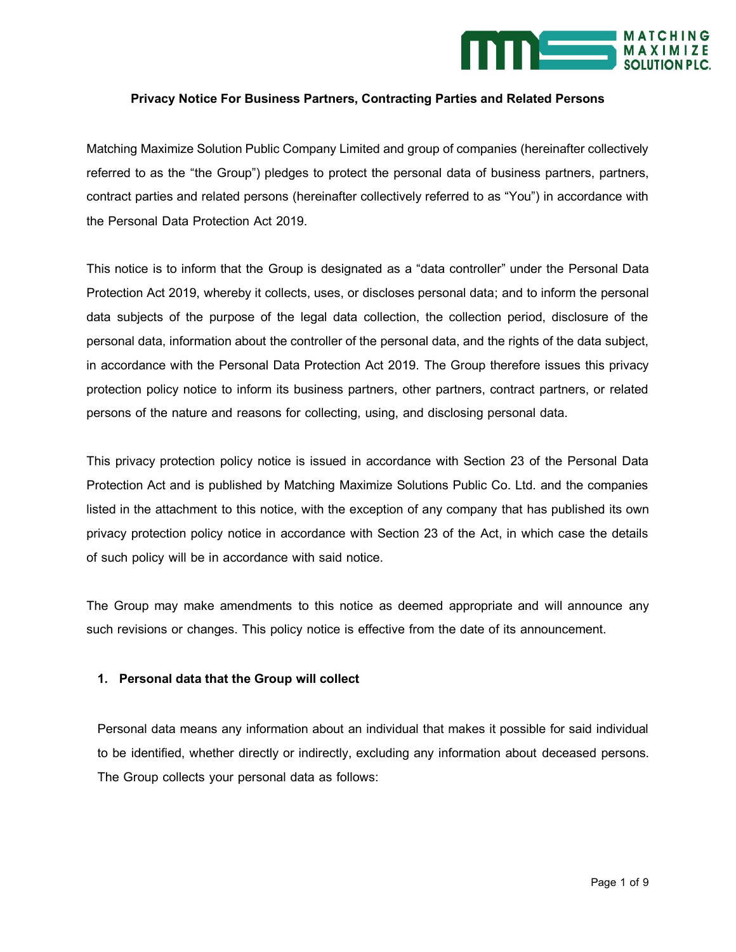

# **Privacy Notice For Business Partners, Contracting Parties and Related Persons**

Matching Maximize Solution Public Company Limited and group of companies (hereinafter collectively referred to as the "the Group") pledges to protect the personal data of business partners, partners, contract parties and related persons (hereinafter collectively referred to as "You") in accordance with the Personal Data Protection Act 2019.

This notice is to inform that the Group is designated as a "data controller" under the Personal Data Protection Act 2019, whereby it collects, uses, or discloses personal data; and to inform the personal data subjects of the purpose of the legal data collection, the collection period, disclosure of the personal data, information about the controller of the personal data, and the rights of the data subject, in accordance with the Personal Data Protection Act 2019. The Group therefore issues this privacy protection policy notice to inform its business partners, other partners, contract partners, or related persons of the nature and reasons for collecting, using, and disclosing personal data.

This privacy protection policy notice is issued in accordance with Section 23 of the Personal Data Protection Act and is published by Matching Maximize Solutions Public Co. Ltd. and the companies listed in the attachment to this notice, with the exception of any company that has published its own privacy protection policy notice in accordance with Section 23 of the Act, in which case the details of such policy will be in accordance with said notice.

The Group may make amendments to this notice as deemed appropriate and will announce any such revisions or changes. This policy notice is effective from the date of its announcement.

# **1. Personal data that the Group will collect**

Personal data means any information about an individual that makes it possible for said individual to be identified, whether directly or indirectly, excluding any information about deceased persons. The Group collects your personal data as follows: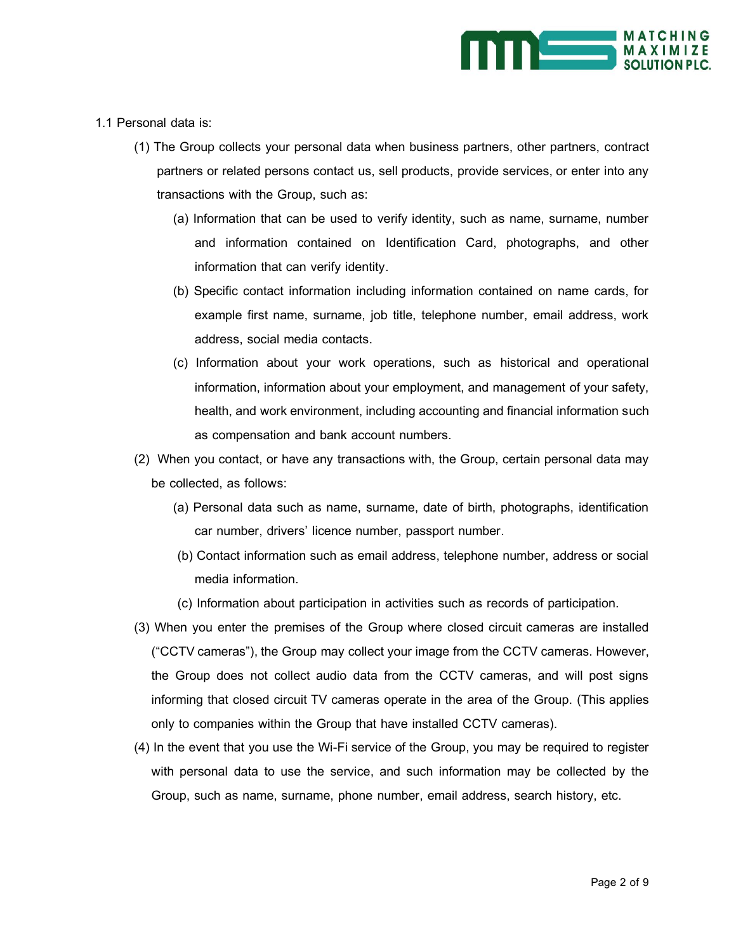

- 1.1 Personal data is:
	- (1) The Group collects your personal data when business partners, other partners, contract partners or related persons contact us, sell products, provide services, or enter into any transactions with the Group, such as:
		- (a) Information that can be used to verify identity, such as name, surname, number and information contained on Identification Card, photographs, and other information that can verify identity.
		- (b) Specific contact information including information contained on name cards, for example first name, surname, job title, telephone number, email address, work address, social media contacts.
		- (c) Information about your work operations, such as historical and operational information, information about your employment, and management of your safety, health, and work environment, including accounting and financial information such as compensation and bank account numbers.
	- (2) When you contact, or have any transactions with, the Group, certain personal data may be collected, as follows:
		- (a) Personal data such as name, surname, date of birth, photographs, identification car number, drivers' licence number, passport number.
		- (b) Contact information such as email address, telephone number, address or social media information.
		- (c) Information about participation in activities such as records of participation.
	- (3) When you enter the premises of the Group where closed circuit cameras are installed ("CCTV cameras"), the Group may collect your image from the CCTV cameras. However, the Group does not collect audio data from the CCTV cameras, and will post signs informing that closed circuit TV cameras operate in the area of the Group. (This applies only to companies within the Group that have installed CCTV cameras).
	- (4) In the event that you use the Wi-Fi service of the Group, you may be required to register with personal data to use the service, and such information may be collected by the Group, such as name, surname, phone number, email address, search history, etc.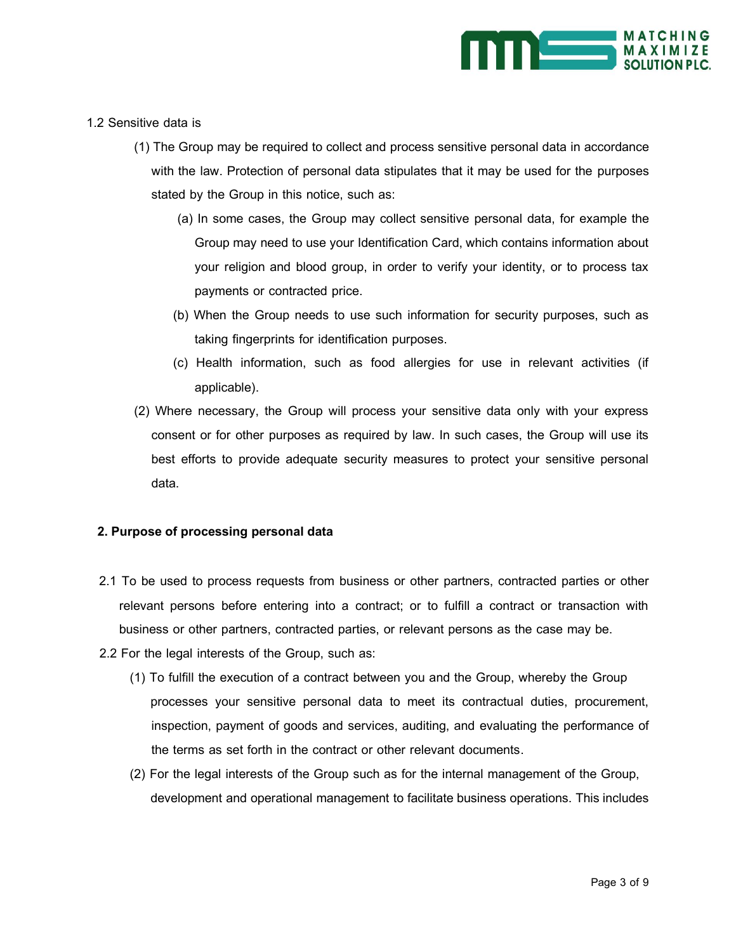

- 1.2 Sensitive data is
	- (1) The Group may be required to collect and process sensitive personal data in accordance with the law. Protection of personal data stipulates that it may be used for the purposes stated by the Group in this notice, such as:
		- (a) In some cases, the Group may collect sensitive personal data, for example the Group may need to use your Identification Card, which contains information about your religion and blood group, in order to verify your identity, or to process tax payments or contracted price.
		- (b) When the Group needs to use such information for security purposes, such as taking fingerprints for identification purposes.
		- (c) Health information, such as food allergies for use in relevant activities (if applicable).
	- (2) Where necessary, the Group will process your sensitive data only with your express consent or for other purposes as required by law. In such cases, the Group will use its best efforts to provide adequate security measures to protect your sensitive personal data.

# **2. Purpose of processing personal data**

- 2.1 To be used to process requests from business or other partners, contracted parties or other relevant persons before entering into a contract; or to fulfill a contract or transaction with business or other partners, contracted parties, or relevant persons as the case may be.
- 2.2 For the legal interests of the Group, such as:
	- (1) To fulfill the execution of a contract between you and the Group, whereby the Group processes your sensitive personal data to meet its contractual duties, procurement, inspection, payment of goods and services, auditing, and evaluating the performance of the terms as set forth in the contract or other relevant documents.
	- (2) For the legal interests of the Group such as for the internal management of the Group, development and operational management to facilitate business operations. This includes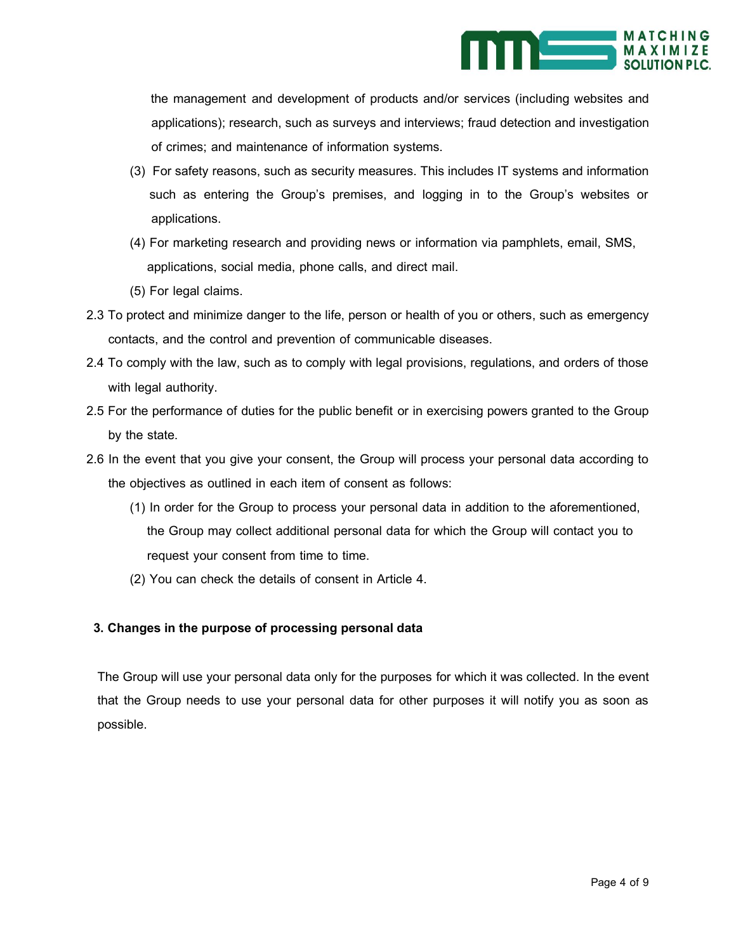

 the management and development of products and/or services (including websites and applications); research, such as surveys and interviews; fraud detection and investigation of crimes; and maintenance of information systems.

- (3) For safety reasons, such as security measures. This includes IT systems and information such as entering the Group's premises, and logging in to the Group's websites or applications.
- (4) For marketing research and providing news or information via pamphlets, email, SMS, applications, social media, phone calls, and direct mail.
- (5) For legal claims.
- 2.3 To protect and minimize danger to the life, person or health of you or others, such as emergency contacts, and the control and prevention of communicable diseases.
- 2.4 To comply with the law, such as to comply with legal provisions, regulations, and orders of those with legal authority.
- 2.5 For the performance of duties for the public benefit or in exercising powers granted to the Group by the state.
- 2.6 In the event that you give your consent, the Group will process your personal data according to the objectives as outlined in each item of consent as follows:
	- (1) In order for the Group to process your personal data in addition to the aforementioned, the Group may collect additional personal data for which the Group will contact you to request your consent from time to time.
	- (2) You can check the details of consent in Article 4.

# **3. Changes in the purpose of processing personal data**

The Group will use your personal data only for the purposes for which it was collected. In the event that the Group needs to use your personal data for other purposes it will notify you as soon as possible.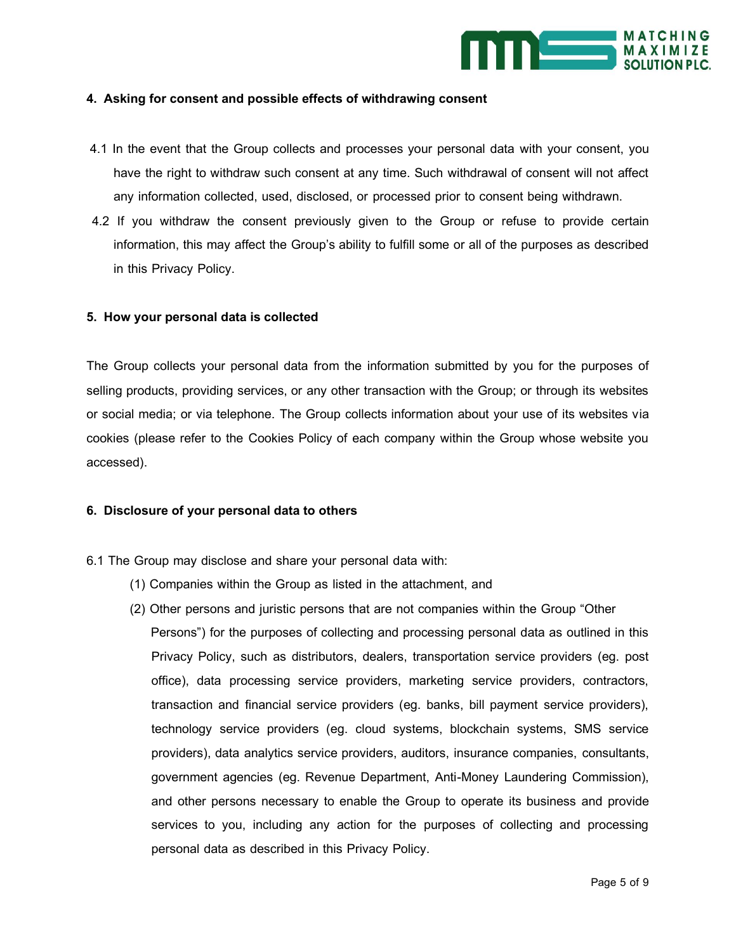

# **4. Asking for consent and possible effects of withdrawing consent**

- 4.1 In the event that the Group collects and processes your personal data with your consent, you have the right to withdraw such consent at any time. Such withdrawal of consent will not affect any information collected, used, disclosed, or processed prior to consent being withdrawn.
- 4.2 If you withdraw the consent previously given to the Group or refuse to provide certain information, this may affect the Group's ability to fulfill some or all of the purposes as described in this Privacy Policy.

# **5. How your personal data is collected**

The Group collects your personal data from the information submitted by you for the purposes of selling products, providing services, or any other transaction with the Group; or through its websites or social media; or via telephone. The Group collects information about your use of its websites via cookies (please refer to the Cookies Policy of each company within the Group whose website you accessed).

#### **6. Disclosure of your personal data to others**

- 6.1 The Group may disclose and share your personal data with:
	- (1) Companies within the Group as listed in the attachment, and
	- (2) Other persons and juristic persons that are not companies within the Group "Other Persons") for the purposes of collecting and processing personal data as outlined in this Privacy Policy, such as distributors, dealers, transportation service providers (eg. post office), data processing service providers, marketing service providers, contractors, transaction and financial service providers (eg. banks, bill payment service providers), technology service providers (eg. cloud systems, blockchain systems, SMS service providers), data analytics service providers, auditors, insurance companies, consultants, government agencies (eg. Revenue Department, Anti-Money Laundering Commission), and other persons necessary to enable the Group to operate its business and provide services to you, including any action for the purposes of collecting and processing personal data as described in this Privacy Policy.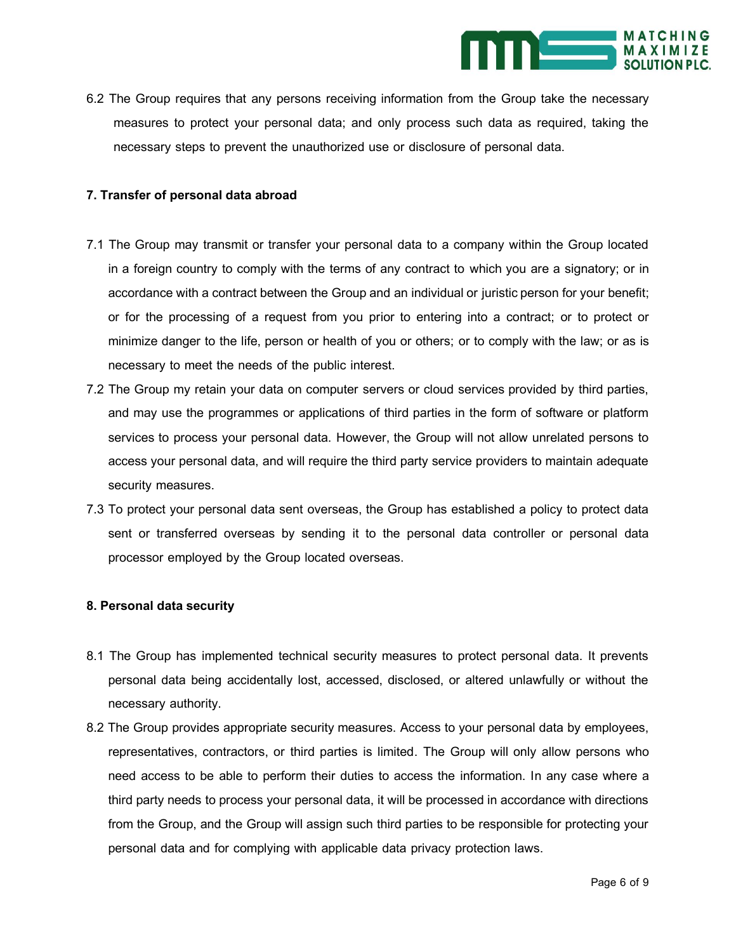

6.2 The Group requires that any persons receiving information from the Group take the necessary measures to protect your personal data; and only process such data as required, taking the necessary steps to prevent the unauthorized use or disclosure of personal data.

# **7. Transfer of personal data abroad**

- 7.1 The Group may transmit or transfer your personal data to a company within the Group located in a foreign country to comply with the terms of any contract to which you are a signatory; or in accordance with a contract between the Group and an individual or juristic person for your benefit; or for the processing of a request from you prior to entering into a contract; or to protect or minimize danger to the life, person or health of you or others; or to comply with the law; or as is necessary to meet the needs of the public interest.
- 7.2 The Group my retain your data on computer servers or cloud services provided by third parties, and may use the programmes or applications of third parties in the form of software or platform services to process your personal data. However, the Group will not allow unrelated persons to access your personal data, and will require the third party service providers to maintain adequate security measures.
- 7.3 To protect your personal data sent overseas, the Group has established a policy to protect data sent or transferred overseas by sending it to the personal data controller or personal data processor employed by the Group located overseas.

# **8. Personal data security**

- 8.1 The Group has implemented technical security measures to protect personal data. It prevents personal data being accidentally lost, accessed, disclosed, or altered unlawfully or without the necessary authority.
- 8.2 The Group provides appropriate security measures. Access to your personal data by employees, representatives, contractors, or third parties is limited. The Group will only allow persons who need access to be able to perform their duties to access the information. In any case where a third party needs to process your personal data, it will be processed in accordance with directions from the Group, and the Group will assign such third parties to be responsible for protecting your personal data and for complying with applicable data privacy protection laws.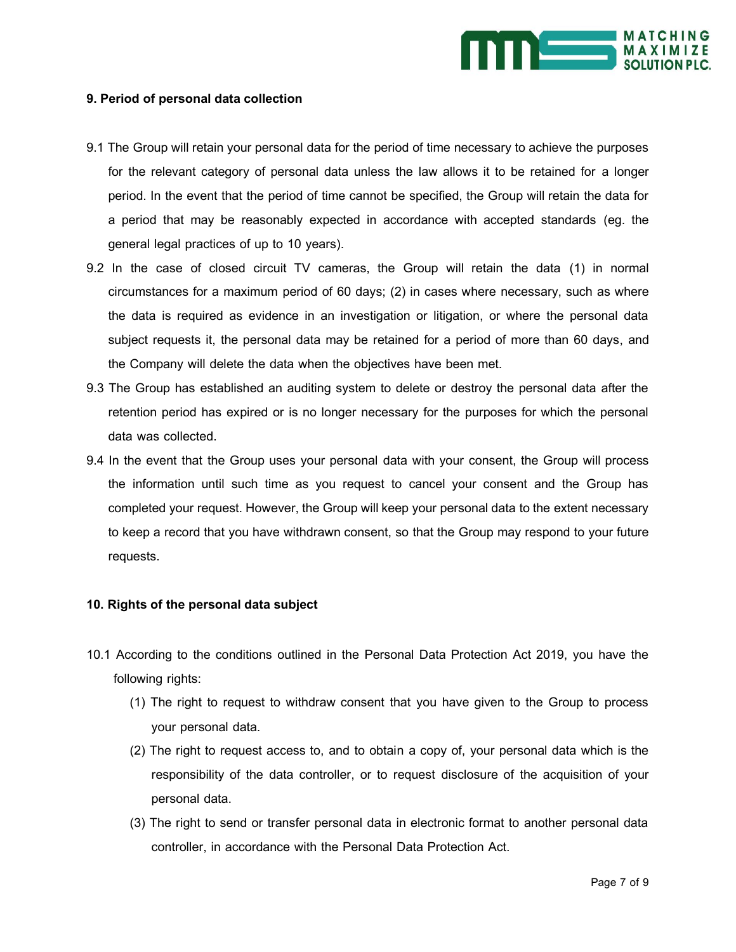

# **9. Period of personal data collection**

- 9.1 The Group will retain your personal data for the period of time necessary to achieve the purposes for the relevant category of personal data unless the law allows it to be retained for a longer period. In the event that the period of time cannot be specified, the Group will retain the data for a period that may be reasonably expected in accordance with accepted standards (eg. the general legal practices of up to 10 years).
- 9.2 In the case of closed circuit TV cameras, the Group will retain the data (1) in normal circumstances for a maximum period of 60 days; (2) in cases where necessary, such as where the data is required as evidence in an investigation or litigation, or where the personal data subject requests it, the personal data may be retained for a period of more than 60 days, and the Company will delete the data when the objectives have been met.
- 9.3 The Group has established an auditing system to delete or destroy the personal data after the retention period has expired or is no longer necessary for the purposes for which the personal data was collected.
- 9.4 In the event that the Group uses your personal data with your consent, the Group will process the information until such time as you request to cancel your consent and the Group has completed your request. However, the Group will keep your personal data to the extent necessary to keep a record that you have withdrawn consent, so that the Group may respond to your future requests.

# **10. Rights of the personal data subject**

- 10.1 According to the conditions outlined in the Personal Data Protection Act 2019, you have the following rights:
	- (1) The right to request to withdraw consent that you have given to the Group to process your personal data.
	- (2) The right to request access to, and to obtain a copy of, your personal data which is the responsibility of the data controller, or to request disclosure of the acquisition of your personal data.
	- (3) The right to send or transfer personal data in electronic format to another personal data controller, in accordance with the Personal Data Protection Act.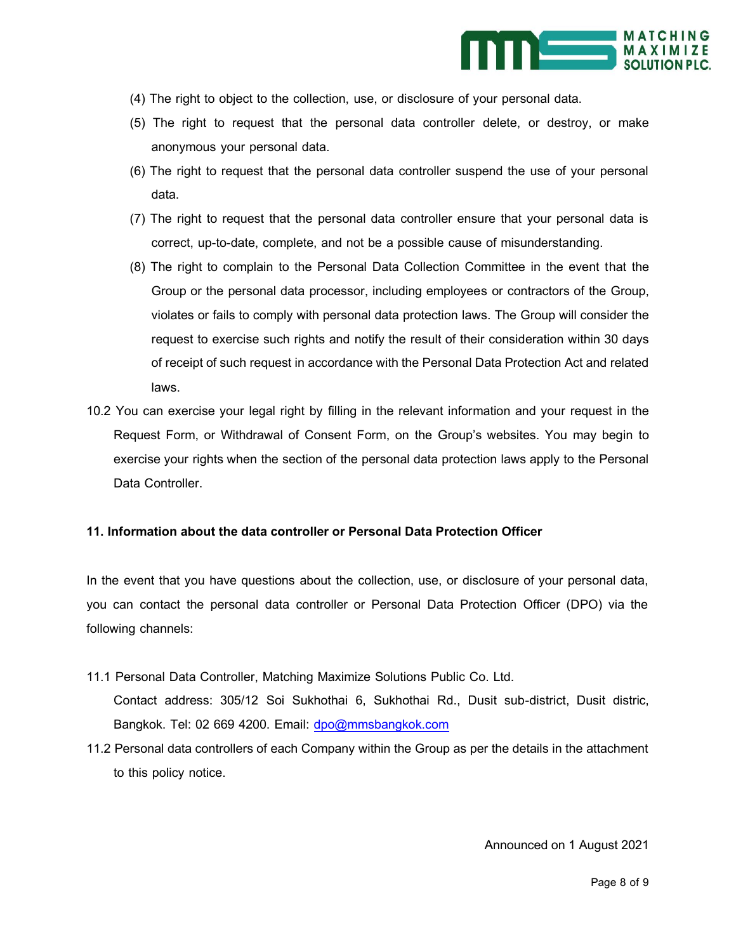

- (4) The right to object to the collection, use, or disclosure of your personal data.
- (5) The right to request that the personal data controller delete, or destroy, or make anonymous your personal data.
- (6) The right to request that the personal data controller suspend the use of your personal data.
- (7) The right to request that the personal data controller ensure that your personal data is correct, up-to-date, complete, and not be a possible cause of misunderstanding.
- (8) The right to complain to the Personal Data Collection Committee in the event that the Group or the personal data processor, including employees or contractors of the Group, violates or fails to comply with personal data protection laws. The Group will consider the request to exercise such rights and notify the result of their consideration within 30 days of receipt of such request in accordance with the Personal Data Protection Act and related laws.
- 10.2 You can exercise your legal right by filling in the relevant information and your request in the Request Form, or Withdrawal of Consent Form, on the Group's websites. You may begin to exercise your rights when the section of the personal data protection laws apply to the Personal Data Controller.

# **11. Information about the data controller or Personal Data Protection Officer**

In the event that you have questions about the collection, use, or disclosure of your personal data, you can contact the personal data controller or Personal Data Protection Officer (DPO) via the following channels:

- 11.1 Personal Data Controller, Matching Maximize Solutions Public Co. Ltd. Contact address: 305/12 Soi Sukhothai 6, Sukhothai Rd., Dusit sub-district, Dusit distric, Bangkok. Tel: 02 669 4200. Email: [dpo@mmsbangkok.com](mailto:dpo@mmsbangkok.com)
- 11.2 Personal data controllers of each Company within the Group as per the details in the attachment to this policy notice.